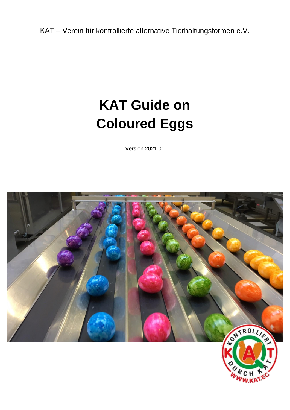KAT – Verein für kontrollierte alternative Tierhaltungsformen e.V.

# **KAT Guide on Coloured Eggs**

Version 2021.01

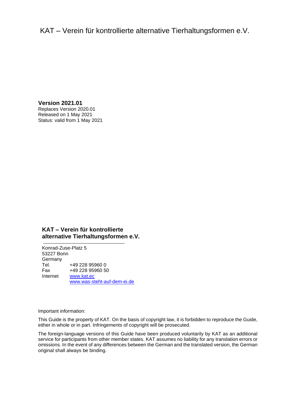KAT – Verein für kontrollierte alternative Tierhaltungsformen e.V.

**Version 2021.01** Replaces Version 2020.01 Released on 1 May 2021 Status: valid from 1 May 2021

### **KAT – Verein für kontrollierte alternative Tierhaltungsformen e.V.**

Konrad-Zuse-Platz 5 53227 Bonn Germany Tel. +49 228 95960 0 Fax +49 228 95960 50 Internet [www.kat.ec](file://///kat-fs01/Kontrollen/KAT/Prüfsystematik%20und%20Leitfäden/1.%20KAT-Prüfsystematik%20und%20Leitfäden%202017-2020/2_Leitfäden/In%20Bearbeitung/Vorlage/www.kat.ec) [www.was-steht-auf-dem-ei.de](file://///kat-fs01/Kontrollen/KAT/Prüfsystematik%20und%20Leitfäden/1.%20KAT-Prüfsystematik%20und%20Leitfäden%202017-2020/2_Leitfäden/In%20Bearbeitung/Vorlage/www.was-steht-auf-dem-ei.de)

Important information:

This Guide is the property of KAT. On the basis of copyright law, it is forbidden to reproduce the Guide, either in whole or in part. Infringements of copyright will be prosecuted.

The foreign-language versions of this Guide have been produced voluntarily by KAT as an additional service for participants from other member states. KAT assumes no liability for any translation errors or omissions. In the event of any differences between the German and the translated version, the German original shall always be binding.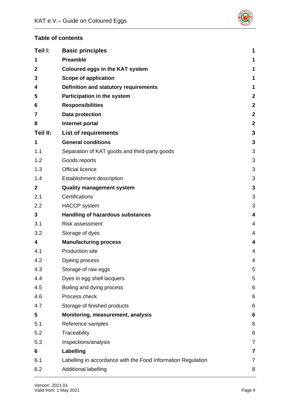

# **Table of contents**

| Teil I:        | <b>Basic principles</b>                                      | 1                       |
|----------------|--------------------------------------------------------------|-------------------------|
| 1              | <b>Preamble</b>                                              | 1                       |
| $\mathbf{2}$   | <b>Coloured eggs in the KAT system</b>                       | 1                       |
| 3              | <b>Scope of application</b>                                  | 1                       |
| 4              | <b>Definition and statutory requirements</b>                 | 1                       |
| 5              | Participation in the system                                  | $\boldsymbol{2}$        |
| 6              | <b>Responsibilities</b>                                      | $\mathbf{2}$            |
| 7              | Data protection                                              | $\boldsymbol{2}$        |
| 8              | Internet portal                                              | $\mathbf{2}$            |
| Teil II:       | <b>List of requirements</b>                                  | 3                       |
| 1              | <b>General conditions</b>                                    | $\mathbf{3}$            |
| 1.1            | Separation of KAT goods and third-party goods                | 3                       |
| 1.2            | Goods reports                                                | 3                       |
| 1.3            | <b>Official licence</b>                                      | 3                       |
| 1.4            | Establishment description                                    | 3                       |
| $\overline{2}$ | <b>Quality management system</b>                             | 3                       |
| 2.1            | Certifications                                               | 3                       |
| 2.2            | <b>HACCP</b> system                                          | 3                       |
| 3              | <b>Handling of hazardous substances</b>                      | $\overline{\mathbf{4}}$ |
|                |                                                              |                         |
| 3.1            | <b>Risk assessment</b>                                       | 4                       |
| 3.2            | Storage of dyes                                              | $\overline{4}$          |
| 4              | <b>Manufacturing process</b>                                 | $\overline{\mathbf{4}}$ |
| 4.1            | <b>Production site</b>                                       | $\overline{4}$          |
| 4.2            | Dyeing process                                               | 4                       |
| 4.3            | Storage of raw eggs                                          | 5                       |
| 4.4            | Dyes in egg shell lacquers                                   | 5                       |
| 4.5            | Boiling and dying process                                    | 6                       |
| 4.6            | Process check                                                | 6                       |
| 4.7            | Storage of finished products                                 | $\,6$                   |
| 5              | Monitoring, measurement, analysis                            | $6\phantom{1}6$         |
| 5.1            | Reference samples                                            | 6                       |
| 5.2            | Traceability                                                 | 6                       |
| 5.3            | Inspections/analysis                                         | $\overline{7}$          |
| 6              | Labelling                                                    | $\overline{\mathbf{7}}$ |
| 6.1            | Labelling in accordance with the Food Information Regulation | $\overline{7}$          |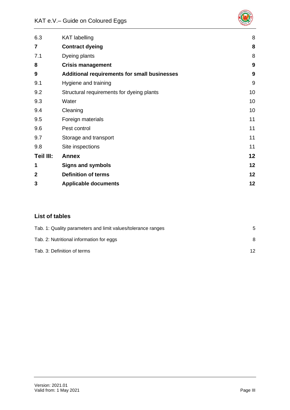

| 6.3            | <b>KAT</b> labelling                                | 8  |
|----------------|-----------------------------------------------------|----|
| 7              | <b>Contract dyeing</b>                              | 8  |
| 7.1            | Dyeing plants                                       | 8  |
| 8              | <b>Crisis management</b>                            | 9  |
| 9              | <b>Additional requirements for small businesses</b> | 9  |
| 9.1            | Hygiene and training                                | 9  |
| 9.2            | Structural requirements for dyeing plants           | 10 |
| 9.3            | Water                                               | 10 |
| 9.4            | Cleaning                                            | 10 |
| 9.5            | Foreign materials                                   | 11 |
| 9.6            | Pest control                                        | 11 |
| 9.7            | Storage and transport                               | 11 |
| 9.8            | Site inspections                                    | 11 |
| Teil III:      | <b>Annex</b>                                        | 12 |
| 1              | <b>Signs and symbols</b>                            | 12 |
| $\overline{2}$ | <b>Definition of terms</b>                          | 12 |
| 3              | <b>Applicable documents</b>                         | 12 |

# **List of tables**

| Tab. 1: Quality parameters and limit values/tolerance ranges | 5  |
|--------------------------------------------------------------|----|
| Tab. 2: Nutritional information for eggs                     | 8  |
| Tab. 3: Definition of terms                                  | 12 |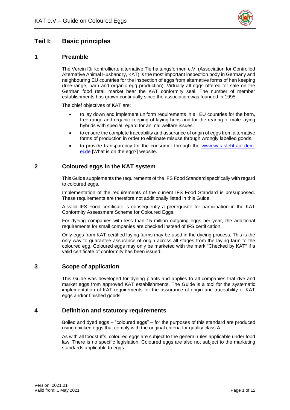

# <span id="page-4-0"></span>**Teil I: Basic principles**

## <span id="page-4-1"></span>**1 Preamble**

The Verein für kontrollierte alternative Tierhaltungsformen e.V. (Association for Controlled Alternative Animal Husbandry, KAT) is the most important inspection body in Germany and neighbouring EU countries for the inspection of eggs from alternative forms of hen keeping (free-range, barn and organic egg production). Virtually all eggs offered for sale on the German food retail market bear the KAT conformity seal. The number of member establishments has grown continually since the association was founded in 1995.

The chief objectives of KAT are:

- to lay down and implement uniform requirements in all EU countries for the barn, free-range and organic keeping of laying hens and for the rearing of male laying hybrids with special regard for animal welfare issues.
- to ensure the complete traceability and assurance of origin of eggs from alternative forms of production in order to eliminate misuse through wrongly labelled goods.
- to provide transparency for the consumer through the [www.was-steht-auf-dem](http://www.was-steht-auf-dem-ei.de/)[ei.de](http://www.was-steht-auf-dem-ei.de/) [What is on the egg?] website.

## <span id="page-4-2"></span>**2 Coloured eggs in the KAT system**

This Guide supplements the requirements of the IFS Food Standard specifically with regard to coloured eggs.

Implementation of the requirements of the current IFS Food Standard is presupposed. These requirements are therefore not additionally listed in this Guide.

A valid IFS Food certificate is consequently a prerequisite for participation in the KAT Conformity Assessment Scheme for Coloured Eggs.

For dyeing companies with less than 15 million outgoing eggs per year, the additional requirements for small companies are checked instead of IFS certification.

Only eggs from KAT-certified laying farms may be used in the dyeing process. This is the only way to guarantee assurance of origin across all stages from the laying farm to the coloured egg. Coloured eggs may only be marketed with the mark "Checked by KAT" if a valid certificate of conformity has been issued.

## <span id="page-4-3"></span>**3 Scope of application**

This Guide was developed for dyeing plants and applies to all companies that dye and market eggs from approved KAT establishments. The Guide is a tool for the systematic implementation of KAT requirements for the assurance of origin and traceability of KAT eggs and/or finished goods.

### <span id="page-4-4"></span>**4 Definition and statutory requirements**

Boiled and dyed eggs – "coloured eggs" – for the purposes of this standard are produced using chicken eggs that comply with the original criteria for quality class A.

As with all foodstuffs, coloured eggs are subject to the general rules applicable under food law. There is no specific legislation. Coloured eggs are also not subject to the marketing standards applicable to eggs.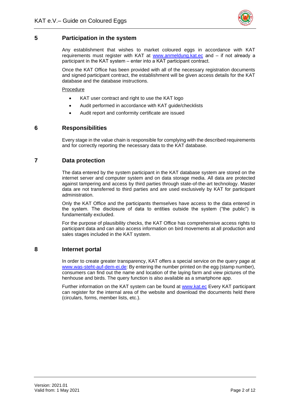

## <span id="page-5-0"></span>**5 Participation in the system**

Any establishment that wishes to market coloured eggs in accordance with KAT requirements must register with KAT at www.anmeldung.kat.ec and - if not already a participant in the KAT system - enter into a KAT participant contract.

Once the KAT Office has been provided with all of the necessary registration documents and signed participant contract, the establishment will be given access details for the KAT database and the database instructions.

Procedure

- KAT user contract and right to use the KAT logo
- Audit performed in accordance with KAT guide/checklists
- Audit report and conformity certificate are issued

## <span id="page-5-1"></span>**6 Responsibilities**

Every stage in the value chain is responsible for complying with the described requirements and for correctly reporting the necessary data to the KAT database.

## <span id="page-5-2"></span>**7 Data protection**

The data entered by the system participant in the KAT database system are stored on the internet server and computer system and on data storage media. All data are protected against tampering and access by third parties through state-of-the-art technology. Master data are not transferred to third parties and are used exclusively by KAT for participant administration.

Only the KAT Office and the participants themselves have access to the data entered in the system. The disclosure of data to entities outside the system ("the public") is fundamentally excluded.

For the purpose of plausibility checks, the KAT Office has comprehensive access rights to participant data and can also access information on bird movements at all production and sales stages included in the KAT system.

### <span id="page-5-3"></span>**8 Internet portal**

In order to create greater transparency, KAT offers a special service on the query page at www.was-steht-auf-dem-ei.de: By entering the number printed on the egg (stamp number), consumers can find out the name and location of the laying farm and view pictures of the henhouse and birds. The query function is also available as a smartphone app.

Further information on the KAT system can be found at www.kat.ec Every KAT participant can register for the internal area of the website and download the documents held there (circulars, forms, member lists, etc.).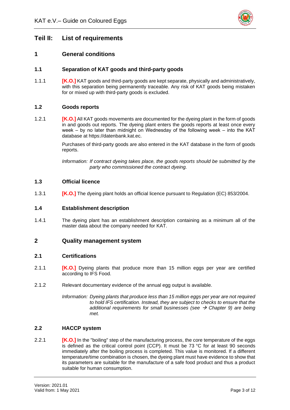

# <span id="page-6-0"></span>**Teil II: List of requirements**

## <span id="page-6-1"></span>**1 General conditions**

## <span id="page-6-2"></span>**1.1 Separation of KAT goods and third-party goods**

1.1.1 **[K.O.]** KAT goods and third-party goods are kept separate, physically and administratively, with this separation being permanently traceable. Any risk of KAT goods being mistaken for or mixed up with third-party goods is excluded.

### <span id="page-6-3"></span>**1.2 Goods reports**

1.2.1 **[K.O.]** All KAT goods movements are documented for the dyeing plant in the form of goods in and goods out reports. The dyeing plant enters the goods reports at least once every week – by no later than midnight on Wednesday of the following week – into the KAT database at https://datenbank.kat.ec.

> Purchases of third-party goods are also entered in the KAT database in the form of goods reports.

> *Information: If contract dyeing takes place, the goods reports should be submitted by the party who commissioned the contract dyeing.*

#### <span id="page-6-4"></span>**1.3 Official licence**

1.3.1 **[K.O.]** The dyeing plant holds an official licence pursuant to Regulation (EC) 853/2004.

#### <span id="page-6-5"></span>**1.4 Establishment description**

1.4.1 The dyeing plant has an establishment description containing as a minimum all of the master data about the company needed for KAT.

### <span id="page-6-6"></span>**2 Quality management system**

#### <span id="page-6-7"></span>**2.1 Certifications**

- 2.1.1 **[K.O.]** Dyeing plants that produce more than 15 million eggs per year are certified according to IFS Food.
- 2.1.2 Relevant documentary evidence of the annual egg output is available.
	- *Information: Dyeing plants that produce less than 15 million eggs per year are not required to hold IFS certification. Instead, they are subject to checks to ensure that the additional requirements for small businesses (see → Chapter 9) are being met.*

#### <span id="page-6-8"></span>**2.2 HACCP system**

2.2.1 **[K.O.]** In the "boiling" step of the manufacturing process, the core temperature of the eggs is defined as the critical control point (CCP). It must be 73 °C for at least 90 seconds immediately after the boiling process is completed. This value is monitored. If a different temperature/time combination is chosen, the dyeing plant must have evidence to show that its parameters are suitable for the manufacture of a safe food product and thus a product suitable for human consumption.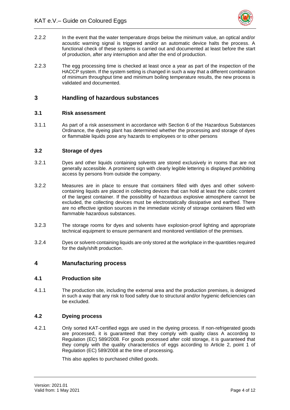

- 2.2.2 In the event that the water temperature drops below the minimum value, an optical and/or acoustic warning signal is triggered and/or an automatic device halts the process. A functional check of these systems is carried out and documented at least before the start of production, after any interruption and after the end of production.
- 2.2.3 The egg processing time is checked at least once a year as part of the inspection of the HACCP system. If the system setting is changed in such a way that a different combination of minimum throughput time and minimum boiling temperature results, the new process is validated and documented.

## <span id="page-7-0"></span>**3 Handling of hazardous substances**

#### <span id="page-7-1"></span>**3.1 Risk assessment**

3.1.1 As part of a risk assessment in accordance with Section 6 of the Hazardous Substances Ordinance, the dyeing plant has determined whether the processing and storage of dyes or flammable liquids pose any hazards to employees or to other persons

#### <span id="page-7-2"></span>**3.2 Storage of dyes**

- 3.2.1 Dyes and other liquids containing solvents are stored exclusively in rooms that are not generally accessible. A prominent sign with clearly legible lettering is displayed prohibiting access by persons from outside the company.
- 3.2.2 Measures are in place to ensure that containers filled with dyes and other solventcontaining liquids are placed in collecting devices that can hold at least the cubic content of the largest container. If the possibility of hazardous explosive atmosphere cannot be excluded, the collecting devices must be electrostatically dissipative and earthed. There are no effective ignition sources in the immediate vicinity of storage containers filled with flammable hazardous substances.
- 3.2.3 The storage rooms for dyes and solvents have explosion-proof lighting and appropriate technical equipment to ensure permanent and monitored ventilation of the premises.
- 3.2.4 Dyes or solvent-containing liquids are only stored at the workplace in the quantities required for the daily/shift production.

### <span id="page-7-3"></span>**4 Manufacturing process**

#### <span id="page-7-4"></span>**4.1 Production site**

4.1.1 The production site, including the external area and the production premises, is designed in such a way that any risk to food safety due to structural and/or hygienic deficiencies can be excluded.

#### <span id="page-7-5"></span>**4.2 Dyeing process**

4.2.1 Only sorted KAT-certified eggs are used in the dyeing process. If non-refrigerated goods are processed, it is guaranteed that they comply with quality class A according to Regulation (EC) 589/2008. For goods processed after cold storage, it is guaranteed that they comply with the quality characteristics of eggs according to Article 2, point 1 of Regulation (EC) 589/2008 at the time of processing.

This also applies to purchased chilled goods.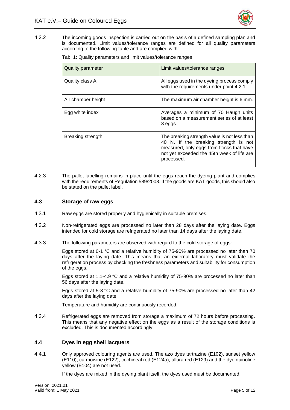

<span id="page-8-2"></span>4.2.2 The incoming goods inspection is carried out on the basis of a defined sampling plan and is documented. Limit values/tolerance ranges are defined for all quality parameters according to the following table and are complied with:

Tab. 1: Quality parameters and limit values/tolerance ranges

| <b>Quality parameter</b> | Limit values/tolerance ranges                                                                                                                                                                  |
|--------------------------|------------------------------------------------------------------------------------------------------------------------------------------------------------------------------------------------|
| Quality class A          | All eggs used in the dyeing process comply<br>with the requirements under point 4.2.1.                                                                                                         |
| Air chamber height       | The maximum air chamber height is 6 mm.                                                                                                                                                        |
| Egg white index          | Averages a minimum of 70 Haugh units<br>based on a measurement series of at least<br>8 eggs.                                                                                                   |
| Breaking strength        | The breaking strength value is not less than<br>40 N. If the breaking strength is not<br>measured, only eggs from flocks that have<br>not yet exceeded the 45th week of life are<br>processed. |

4.2.3 The pallet labelling remains in place until the eggs reach the dyeing plant and complies with the requirements of Regulation 589/2008. If the goods are KAT goods, this should also be stated on the pallet label.

#### <span id="page-8-0"></span>**4.3 Storage of raw eggs**

- 4.3.1 Raw eggs are stored properly and hygienically in suitable premises.
- 4.3.2 Non-refrigerated eggs are processed no later than 28 days after the laying date. Eggs intended for cold storage are refrigerated no later than 14 days after the laying date.
- 4.3.3 The following parameters are observed with regard to the cold storage of eggs:

Eggs stored at 0-1 °C and a relative humidity of 75-90% are processed no later than 70 days after the laying date. This means that an external laboratory must validate the refrigeration process by checking the freshness parameters and suitability for consumption of the eggs.

Eggs stored at 1.1-4.9 °C and a relative humidity of 75-90% are processed no later than 56 days after the laying date.

Eggs stored at 5-8 °C and a relative humidity of 75-90% are processed no later than 42 days after the laying date.

Temperature and humidity are continuously recorded.

4.3.4 Refrigerated eggs are removed from storage a maximum of 72 hours before processing. This means that any negative effect on the eggs as a result of the storage conditions is excluded. This is documented accordingly.

#### <span id="page-8-1"></span>**4.4 Dyes in egg shell lacquers**

4.4.1 Only approved colouring agents are used. The azo dyes tartrazine (E102), sunset yellow (E110), carmoisine (E122), cochineal red (E124a), allura red (E129) and the dye quinoline yellow (E104) are not used.

If the dyes are mixed in the dyeing plant itself, the dyes used must be documented.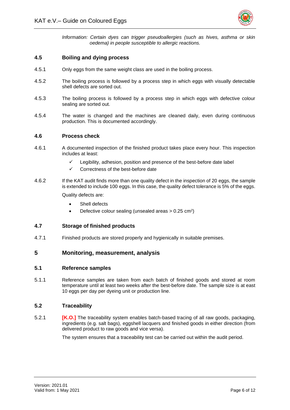

*Information: Certain dyes can trigger pseudoallergies (such as hives, asthma or skin oedema) in people susceptible to allergic reactions.* 

### <span id="page-9-0"></span>**4.5 Boiling and dying process**

- 4.5.1 Only eggs from the same weight class are used in the boiling process.
- 4.5.2 The boiling process is followed by a process step in which eggs with visually detectable shell defects are sorted out.
- 4.5.3 The boiling process is followed by a process step in which eggs with defective colour sealing are sorted out.
- 4.5.4 The water is changed and the machines are cleaned daily, even during continuous production. This is documented accordingly.

#### <span id="page-9-1"></span>**4.6 Process check**

- 4.6.1 A documented inspection of the finished product takes place every hour. This inspection includes at least:
	- Legibility, adhesion, position and presence of the best-before date label
	- ✓ Correctness of the best-before date
- 4.6.2 If the KAT audit finds more than one quality defect in the inspection of 20 eggs, the sample is extended to include 100 eggs. In this case, the quality defect tolerance is 5% of the eggs.

Quality defects are:

- Shell defects
- Defective colour sealing (unsealed areas  $> 0.25$  cm<sup>2</sup>)

#### <span id="page-9-2"></span>**4.7 Storage of finished products**

4.7.1 Finished products are stored properly and hygienically in suitable premises.

#### <span id="page-9-3"></span>**5 Monitoring, measurement, analysis**

#### <span id="page-9-4"></span>**5.1 Reference samples**

5.1.1 Reference samples are taken from each batch of finished goods and stored at room temperature until at least two weeks after the best-before date. The sample size is at east 10 eggs per day per dyeing unit or production line.

#### <span id="page-9-5"></span>**5.2 Traceability**

5.2.1 **[K.O.]** The traceability system enables batch-based tracing of all raw goods, packaging, ingredients (e.g. salt bags), eggshell lacquers and finished goods in either direction (from delivered product to raw goods and vice versa).

The system ensures that a traceability test can be carried out within the audit period.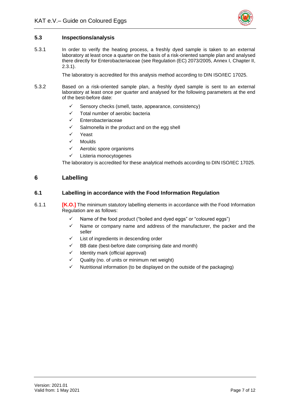

### <span id="page-10-0"></span>**5.3 Inspections/analysis**

5.3.1 In order to verify the heating process, a freshly dyed sample is taken to an external laboratory at least once a quarter on the basis of a risk-oriented sample plan and analysed there directly for Enterobacteriaceae (see Regulation (EC) 2073/2005, Annex I, Chapter II, 2.3.1).

The laboratory is accredited for this analysis method according to DIN ISO/IEC 17025.

- 5.3.2 Based on a risk-oriented sample plan, a freshly dyed sample is sent to an external laboratory at least once per quarter and analysed for the following parameters at the end of the best-before date:
	- ✓ Sensory checks (smell, taste, appearance, consistency)
	- ✓ Total number of aerobic bacteria
	- **Enterobacteriaceae**
	- $\checkmark$  Salmonella in the product and on the egg shell
	- ✓ Yeast
	- ✓ Moulds
	- ✓ Aerobic spore organisms
	- ✓ Listeria monocytogenes

The laboratory is accredited for these analytical methods according to DIN ISO/IEC 17025.

## <span id="page-10-1"></span>**6 Labelling**

#### <span id="page-10-2"></span>**6.1 Labelling in accordance with the Food Information Regulation**

- <span id="page-10-3"></span>6.1.1 **[K.O.]** The minimum statutory labelling elements in accordance with the Food Information Regulation are as follows:
	- ✓ Name of the food product ("boiled and dyed eggs" or "coloured eggs")
	- ✓ Name or company name and address of the manufacturer, the packer and the seller
	- ✓ List of ingredients in descending order
	- BB date (best-before date comprising date and month)
	- ✓ Identity mark (official approval)
	- Quality (no. of units or minimum net weight)
	- Nutritional information (to be displayed on the outside of the packaging)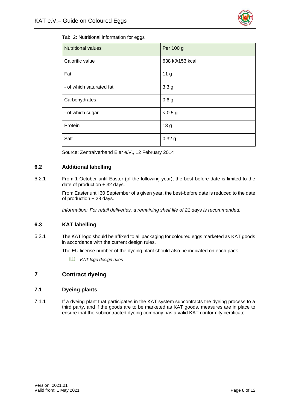

| Tab. 2: Nutritional information for eggs |  |
|------------------------------------------|--|
|------------------------------------------|--|

| <b>Nutritional values</b> | Per 100 g        |
|---------------------------|------------------|
| Calorific value           | 638 kJ/153 kcal  |
| Fat                       | 11 <sub>g</sub>  |
| - of which saturated fat  | 3.3 <sub>g</sub> |
| Carbohydrates             | 0.6 <sub>g</sub> |
| - of which sugar          | < 0.5 g          |
| Protein                   | 13 <sub>g</sub>  |
| Salt                      | 0.32g            |

Source: Zentralverband Eier e.V., 12 February 2014

### <span id="page-11-0"></span>**6.2 Additional labelling**

6.2.1 From 1 October until Easter (of the following year), the best-before date is limited to the date of production + 32 days.

> From Easter until 30 September of a given year, the best-before date is reduced to the date of production + 28 days.

*Information: For retail deliveries, a remaining shelf life of 21 days is recommended.*

### <span id="page-11-1"></span>**6.3 KAT labelling**

6.3.1 The KAT logo should be affixed to all packaging for coloured eggs marketed as KAT goods in accordance with the current design rules.

The EU license number of the dyeing plant should also be indicated on each pack.

*KAT logo design rules*

# <span id="page-11-2"></span>**7 Contract dyeing**

## <span id="page-11-3"></span>**7.1 Dyeing plants**

7.1.1 If a dyeing plant that participates in the KAT system subcontracts the dyeing process to a third party, and if the goods are to be marketed as KAT goods, measures are in place to ensure that the subcontracted dyeing company has a valid KAT conformity certificate.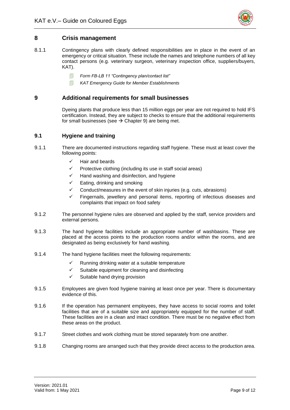

## <span id="page-12-0"></span>**8 Crisis management**

- 8.1.1 Contingency plans with clearly defined responsibilities are in place in the event of an emergency or critical situation. These include the names and telephone numbers of all key contact persons (e.g. veterinary surgeon, veterinary inspection office, suppliers/buyers, KAT).
	- *Form FB-LB 11 "Contingency plan/contact list"*
	- *KAT Emergency Guide for Member Establishments*

## <span id="page-12-1"></span>**9 Additional requirements for small businesses**

Dyeing plants that produce less than 15 million eggs per year are not required to hold IFS certification. Instead, they are subject to checks to ensure that the additional requirements for small businesses (see  $\rightarrow$  Chapter 9) are being met.

## <span id="page-12-2"></span>**9.1 Hygiene and training**

- 9.1.1 There are documented instructions regarding staff hygiene. These must at least cover the following points:
	- ✓ Hair and beards
	- ✓ Protective clothing (including its use in staff social areas)
	- ✓ Hand washing and disinfection, and hygiene
	- $\checkmark$  Eating, drinking and smoking
	- $\checkmark$  Conduct/measures in the event of skin injuries (e.g. cuts, abrasions)
	- Fingernails, jewellery and personal items, reporting of infectious diseases and complaints that impact on food safety
- 9.1.2 The personnel hygiene rules are observed and applied by the staff, service providers and external persons.
- 9.1.3 The hand hygiene facilities include an appropriate number of washbasins. These are placed at the access points to the production rooms and/or within the rooms, and are designated as being exclusively for hand washing.
- 9.1.4 The hand hygiene facilities meet the following requirements:
	- $\checkmark$  Running drinking water at a suitable temperature
	- ✓ Suitable equipment for cleaning and disinfecting
	- $\checkmark$  Suitable hand drying provision
- 9.1.5 Employees are given food hygiene training at least once per year. There is documentary evidence of this.
- 9.1.6 If the operation has permanent employees, they have access to social rooms and toilet facilities that are of a suitable size and appropriately equipped for the number of staff. These facilities are in a clean and intact condition. There must be no negative effect from these areas on the product.
- 9.1.7 Street clothes and work clothing must be stored separately from one another.
- 9.1.8 Changing rooms are arranged such that they provide direct access to the production area.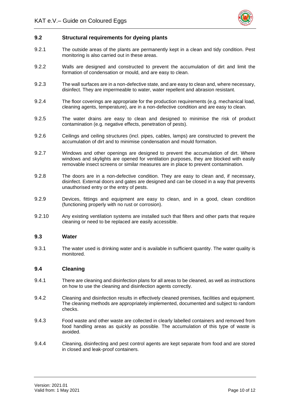

#### <span id="page-13-0"></span>**9.2 Structural requirements for dyeing plants**

- 9.2.1 The outside areas of the plants are permanently kept in a clean and tidy condition. Pest monitoring is also carried out in these areas.
- 9.2.2 Walls are designed and constructed to prevent the accumulation of dirt and limit the formation of condensation or mould, and are easy to clean.
- 9.2.3 The wall surfaces are in a non-defective state, and are easy to clean and, where necessary, disinfect. They are impermeable to water, water repellent and abrasion resistant.
- 9.2.4 The floor coverings are appropriate for the production requirements (e.g. mechanical load, cleaning agents, temperature), are in a non-defective condition and are easy to clean.
- 9.2.5 The water drains are easy to clean and designed to minimise the risk of product contamination (e.g. negative effects, penetration of pests).
- 9.2.6 Ceilings and ceiling structures (incl. pipes, cables, lamps) are constructed to prevent the accumulation of dirt and to minimise condensation and mould formation.
- 9.2.7 Windows and other openings are designed to prevent the accumulation of dirt. Where windows and skylights are opened for ventilation purposes, they are blocked with easily removable insect screens or similar measures are in place to prevent contamination.
- 9.2.8 The doors are in a non-defective condition. They are easy to clean and, if necessary, disinfect. External doors and gates are designed and can be closed in a way that prevents unauthorised entry or the entry of pests.
- 9.2.9 Devices, fittings and equipment are easy to clean, and in a good, clean condition (functioning properly with no rust or corrosion).
- 9.2.10 Any existing ventilation systems are installed such that filters and other parts that require cleaning or need to be replaced are easily accessible.

#### <span id="page-13-1"></span>**9.3 Water**

9.3.1 The water used is drinking water and is available in sufficient quantity. The water quality is monitored.

#### <span id="page-13-2"></span>**9.4 Cleaning**

- 9.4.1 There are cleaning and disinfection plans for all areas to be cleaned, as well as instructions on how to use the cleaning and disinfection agents correctly.
- 9.4.2 Cleaning and disinfection results in effectively cleaned premises, facilities and equipment. The cleaning methods are appropriately implemented, documented and subject to random checks.
- 9.4.3 Food waste and other waste are collected in clearly labelled containers and removed from food handling areas as quickly as possible. The accumulation of this type of waste is avoided.
- 9.4.4 Cleaning, disinfecting and pest control agents are kept separate from food and are stored in closed and leak-proof containers.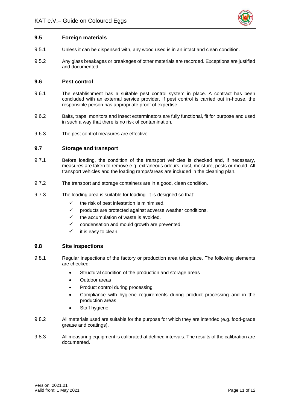

#### <span id="page-14-0"></span>**9.5 Foreign materials**

- 9.5.1 Unless it can be dispensed with, any wood used is in an intact and clean condition.
- 9.5.2 Any glass breakages or breakages of other materials are recorded. Exceptions are justified and documented.

#### <span id="page-14-1"></span>**9.6 Pest control**

- 9.6.1 The establishment has a suitable pest control system in place. A contract has been concluded with an external service provider. If pest control is carried out in-house, the responsible person has appropriate proof of expertise.
- 9.6.2 Baits, traps, monitors and insect exterminators are fully functional, fit for purpose and used in such a way that there is no risk of contamination.
- 9.6.3 The pest control measures are effective.

#### <span id="page-14-2"></span>**9.7 Storage and transport**

- 9.7.1 Before loading, the condition of the transport vehicles is checked and, if necessary, measures are taken to remove e.g. extraneous odours, dust, moisture, pests or mould. All transport vehicles and the loading ramps/areas are included in the cleaning plan.
- 9.7.2 The transport and storage containers are in a good, clean condition.
- 9.7.3 The loading area is suitable for loading. It is designed so that:
	- $\checkmark$  the risk of pest infestation is minimised.
	- $\checkmark$  products are protected against adverse weather conditions.
	- $\checkmark$  the accumulation of waste is avoided.
	- condensation and mould growth are prevented.
	- $\checkmark$  it is easy to clean.

#### <span id="page-14-3"></span>**9.8 Site inspections**

- 9.8.1 Regular inspections of the factory or production area take place. The following elements are checked:
	- Structural condition of the production and storage areas
	- Outdoor areas
	- Product control during processing
	- Compliance with hygiene requirements during product processing and in the production areas
	- Staff hygiene
- 9.8.2 All materials used are suitable for the purpose for which they are intended (e.g. food-grade grease and coatings).
- 9.8.3 All measuring equipment is calibrated at defined intervals. The results of the calibration are documented.